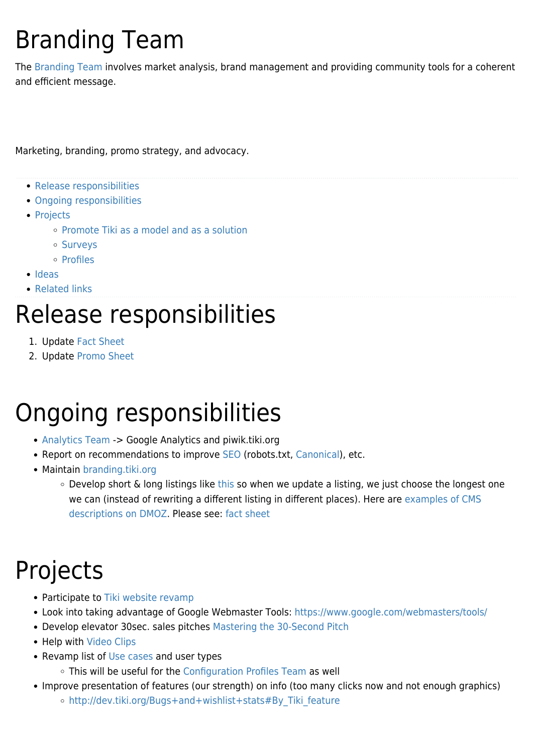# Branding Team

The [Branding Team](https://tiki.org/Branding-Team) involves market analysis, brand management and providing community tools for a coherent and efficient message.

Marketing, branding, promo strategy, and advocacy.

- [Release responsibilities](#page--1-0)
- [Ongoing responsibilities](#page--1-0)
- [Projects](#page--1-0)
	- [Promote Tiki as a model and as a solution](#page--1-0)
	- o [Surveys](#page--1-0)
	- o [Profiles](#page--1-0)
- [Ideas](#page--1-0)
- [Related links](#page--1-0)

## Release responsibilities

- 1. Update [Fact Sheet](http://info.tiki.org/Fact%20Sheet)
- 2. Update [Promo Sheet](https://tiki.org/Promo-Sheet)

## Ongoing responsibilities

- [Analytics Team](https://tiki.org/Analytics-Team) -> Google Analytics and piwik.tiki.org
- Report on recommendations to improve [SEO](https://tiki.org/Search-engine-optimization) (robots.txt, [Canonical](http://doc.tiki.org/Canonical)), etc.
- Maintain [branding.tiki.org](https://tiki.org/branding.tiki.org)
	- Develop short & long listings like [this](http://www.gammadyne.com/product_info.htm) so when we update a listing, we just choose the longest one we can (instead of rewriting a different listing in different places). Here are [examples of CMS](http://www.dmoz.org/Computers/Programming/Languages/PHP/Scripts/Content_Management/) [descriptions on DMOZ.](http://www.dmoz.org/Computers/Programming/Languages/PHP/Scripts/Content_Management/) Please see: [fact sheet](http://info.tiki.org/fact%20sheet)

## Projects

- Participate to [Tiki website revamp](https://tiki.org/Tiki-website-revamp)
- Look into taking advantage of Google Webmaster Tools:<https://www.google.com/webmasters/tools/>
- Develop elevator 30sec. sales pitches [Mastering the 30-Second Pitch](http://www.businessweek.com/smallbiz/content/may2005/sb2005054_8868_sb037.htm?campaign_id=nws_insdr_may6&link_position=link23)
- Help with [Video Clips](https://tiki.org/Video-Clips)
- Revamp list of [Use cases](https://tiki.org/Use-Cases) and user types
	- This will be useful for the [Configuration Profiles Team](https://tiki.org/Configuration-Profiles-Team) as well
- Improve presentation of features (our strength) on info (too many clicks now and not enough graphics)
	- o http://dev.tiki.org/Bugs+and+wishlist+stats#By Tiki feature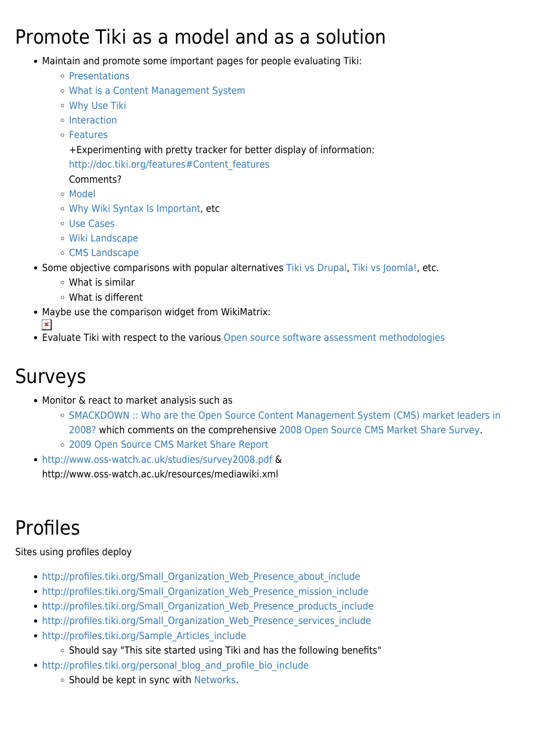### Promote Tiki as a model and as a solution

- Maintain and promote some important pages for people evaluating Tiki:
	- [Presentations](https://tiki.org/Presentations)
	- [What is a Content Management System](https://tiki.org/What-is-a-Content-Management-System)
	- [Why Use Tiki](https://tiki.org/Why-Use-Tiki)
	- [Interaction](http://doc.tiki.org/Interaction)
	- [Features](http://doc.tiki.org/Features)

+Experimenting with pretty tracker for better display of information: [http://doc.tiki.org/features#Content\\_features](http://doc.tiki.org/features#Content_features)

- Comments?
- [Model](https://tiki.org/Model)
- [Why Wiki Syntax Is Important,](https://tiki.org/Why-Wiki-Syntax-Is-Important) etc
- [Use Cases](https://tiki.org/Use-Cases)
- [Wiki Landscape](https://tiki.org/Wiki-Landscape)
- [CMS Landscape](https://tiki.org/CMS-Landscape)
- Some objective comparisons with popular alternatives [Tiki vs Drupal](https://tiki.org/Tiki-vs-Drupal), [Tiki vs Joomla!,](https://tiki.org/Tiki-vs-Joomla!) etc.
	- What is similar
	- What is different
- Maybe use the comparison widget from WikiMatrix:
	- $\pmb{\times}$
- Evaluate Tiki with respect to the various [Open source software assessment methodologies](http://en.wikipedia.org/wiki/Open_source_software_assessment_methodologies)

### Surveys

- Monitor & react to market analysis such as
	- [SMACKDOWN :: Who are the Open Source Content Management System \(CMS\) market leaders in](http://www.mytestbox.com/content-management-software-reviews/content-management-systems-cms-market-share-survey-study-2008/) [2008?](http://www.mytestbox.com/content-management-software-reviews/content-management-systems-cms-market-share-survey-study-2008/) which comments on the comprehensive [2008 Open Source CMS Market Share Survey](http://waterandstone.com/downloads/2008OpenSourceCMSMarketSurvey.pdf).
	- [2009 Open Source CMS Market Share Report](http://www.cmswire.com/downloads/cms-market-share/)
- <http://www.oss-watch.ac.uk/studies/survey2008.pdf> & http://www.oss-watch.ac.uk/resources/mediawiki.xml

## Profiles

#### Sites using profiles deploy

- [http://profiles.tiki.org/Small\\_Organization\\_Web\\_Presence\\_about\\_include](http://profiles.tiki.org/Small_Organization_Web_Presence_about_include)
- [http://profiles.tiki.org/Small\\_Organization\\_Web\\_Presence\\_mission\\_include](http://profiles.tiki.org/Small_Organization_Web_Presence_mission_include)
- [http://profiles.tiki.org/Small\\_Organization\\_Web\\_Presence\\_products\\_include](http://profiles.tiki.org/Small_Organization_Web_Presence_products_include)
- [http://profiles.tiki.org/Small\\_Organization\\_Web\\_Presence\\_services\\_include](http://profiles.tiki.org/Small_Organization_Web_Presence_services_include)
- http://profiles.tiki.org/Sample Articles include
	- o Should say "This site started using Tiki and has the following benefits"
- [http://profiles.tiki.org/personal\\_blog\\_and\\_profile\\_bio\\_include](http://profiles.tiki.org/personal_blog_and_profile_bio_include)
	- o Should be kept in sync with [Networks](https://tiki.org/Networks).